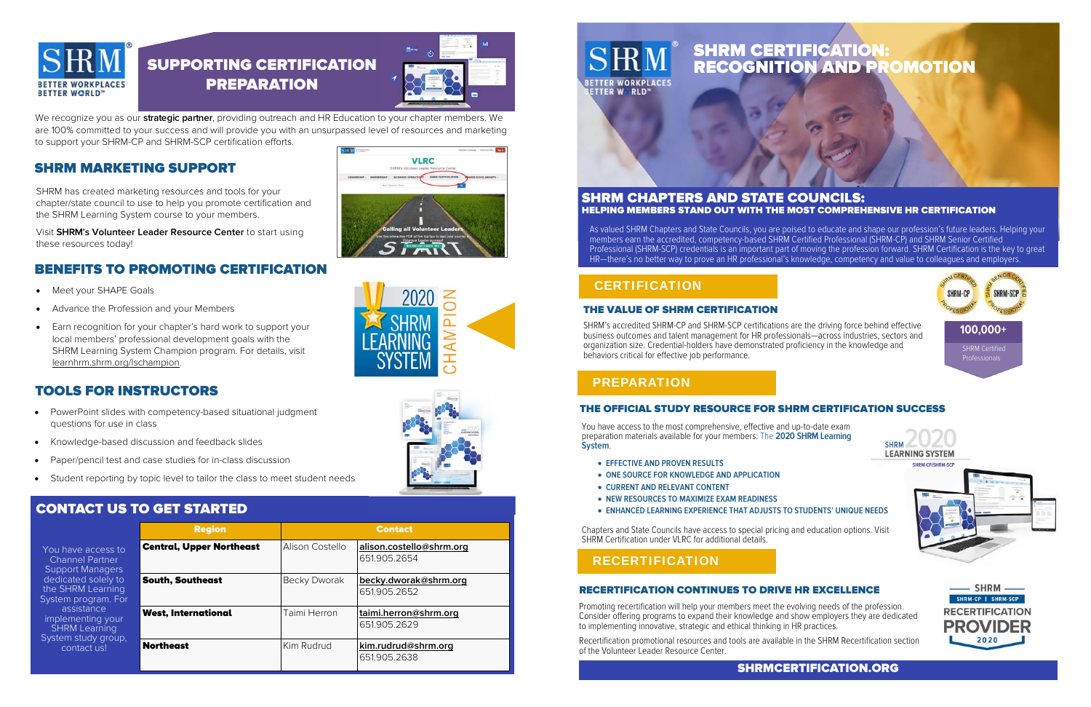We recognize you as our **strategic partner**, providing outreach and HR Education to your chapter members. We are 100% committed to your success and will provide you with an unsurpassed level of resources and marketing to support your SHRM-CP and SHRM-SCP certification efforts.



# SUPPORTING CERTIFICATION **PREPARATION**



|                                                                                                                                                                                                                                             | <b>Region</b>                   | <b>Contact</b>      |                                          |
|---------------------------------------------------------------------------------------------------------------------------------------------------------------------------------------------------------------------------------------------|---------------------------------|---------------------|------------------------------------------|
| You have access to<br><b>Channel Partner</b><br><b>Support Managers</b><br>dedicated solely to<br>the SHRM Learning<br>System program. For<br>assistance<br>implementing your<br><b>SHRM Learning</b><br>System study group,<br>contact us! | <b>Central, Upper Northeast</b> | Alison Costello     | alison.costello@shrm.org<br>651.905.2654 |
|                                                                                                                                                                                                                                             | <b>South, Southeast</b>         | <b>Becky Dworak</b> | becky.dworak@shrm.org<br>651.905.2652    |
|                                                                                                                                                                                                                                             | <b>West, International</b>      | Taimi Herron        | taimi.herron@shrm.org<br>651.905.2629    |
|                                                                                                                                                                                                                                             | <b>Northeast</b>                | Kim Rudrud          | kim.rudrud@shrm.org<br>651.905.2638      |





SHRM has created marketing resources and tools for your chapter/state council to use to help you promote certification and the SHRM Learning System course to your members.

Visit **SHRM's Volunteer Leader Resource Center** to start using these resources today!

- $\bullet$ Meet your SHAPE Goals
- $\bullet$ Advance the Profession and your Members
- $\bullet$  Earn recognition for your chapter's hard work to support your local members' professional development goals with the SHRM Learning System Champion program. For details, visit learnhrm.shrm.org/lschampion.

- $\bullet$  PowerPoint slides with competency-based situational judgment questions for use in class
- $\bullet$ Knowledge-based discussion and feedback slides
- $\bullet$ Paper/pencil test and case studies for in-class discussion
- $\bullet$ Student reporting by topic level to tailor the class to meet student needs

### SHRM MARKETING SUPPORT

### CONTACT US TO GET STARTED

## BENEFITS TO PROMOTING CERTIFICATION

#### HELPING MEMBERS STAND OUT WITH THE MOST COMPREHENSIVE HR CERTIFICATION SHRM CHAPTERS AND STATE COUNCILS:

#### TOOLS FOR INSTRUCTORS

SHRMCERTIFICATION.ORG

You have access to the most comprehensive, effective and up-to-date exam preparation materials available for your members: The **2020 SHRM Learning System**.

- **EFFECTIVE AND PROVEN RESULTS**
- **ONE SOURCE FOR KNOWLEDGE AND APPLICATION**
- **CURRENT AND RELEVANT CONTENT**
- **NEW RESOURCES TO MAXIMIZE EXAM READINESS**
- **ENHANCED LEARNING EXPERIENCE THAT ADJUSTS TO STUDENTS' UNIQUE NEEDS**

Chapters and State Councils have access to special pricing and education options. Visit SHRM Certification under VLRC for additional details.

# SHRM CERTIFICATION: RECOGNITION AND PROMOTION

#### RECERTIFICATION CONTINUES TO DRIVE HR EXCELLENCE

Promoting recertification will help your members meet the evolving needs of the profession. Consider offering programs to expand their knowledge and show employers they are dedicated to implementing innovative, strategic and ethical thinking in HR practices.

Recertification promotional resources and tools are available in the SHRM Recertification section of the Volunteer Leader Resource Center.



#### THE VALUE OF SHRM CERTIFICATION

SHRM's accredited SHRM-CP and SHRM-SCP certifications are the driving force behind effective business outcomes and talent management for HR professionals—across industries, sectors and organization size. Credential-holders have demonstrated proficiency in the knowledge and behaviors critical for effective job performance.

As valued SHRM Chapters and State Councils, you are poised to educate and shape our profession's future leaders. Helping your members earn the accredited, competency-based SHRM Certified Professional (SHRM-CP) and SHRM Senior Certified Professional (SHRM-SCP) credentials is an important part of moving the profession forward. SHRM Certification is the key to great HR—there's no better way to prove an HR professional's knowledge, competency and value to colleagues and employers.

#### **CERTIFICATION**

#### THE OFFICIAL STUDY RESOURCE FOR SHRM CERTIFICATION SUCCESS



SHRM Certified Professionals







#### RECERTIFICATION

#### PREPARATION